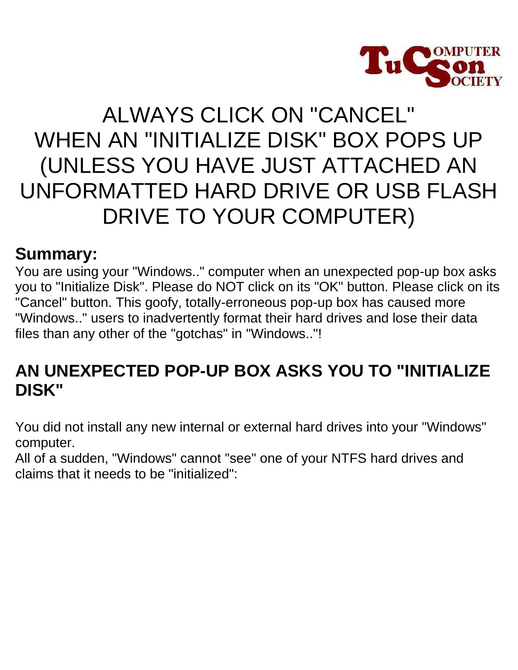

# ALWAYS CLICK ON "CANCEL" WHEN AN "INITIALIZE DISK" BOX POPS UP (UNLESS YOU HAVE JUST ATTACHED AN UNFORMATTED HARD DRIVE OR USB FLASH DRIVE TO YOUR COMPUTER)

#### **Summary:**

You are using your "Windows.." computer when an unexpected pop-up box asks you to "Initialize Disk". Please do NOT click on its "OK" button. Please click on its "Cancel" button. This goofy, totally-erroneous pop-up box has caused more "Windows.." users to inadvertently format their hard drives and lose their data files than any other of the "gotchas" in "Windows.."!

### **AN UNEXPECTED POP-UP BOX ASKS YOU TO "INITIALIZE DISK"**

You did not install any new internal or external hard drives into your "Windows" computer.

All of a sudden, "Windows" cannot "see" one of your NTFS hard drives and claims that it needs to be "initialized":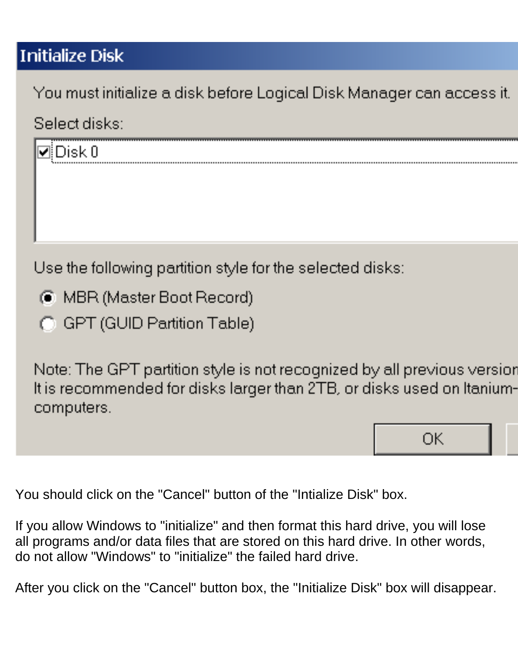## **Initialize Disk**

You must initialize a disk before Logical Disk Manager can access it.

## Select disks:



Use the following partition style for the selected disks:

- C MBR (Master Boot Record)
- G GPT (GUID Partition Table)

Note: The GPT partition style is not recognized by all previous version It is recommended for disks larger than 2TB, or disks used on Itaniumcomputers.

ОK

You should click on the "Cancel" button of the "Intialize Disk" box.

If you allow Windows to "initialize" and then format this hard drive, you will lose all programs and/or data files that are stored on this hard drive. In other words, do not allow "Windows" to "initialize" the failed hard drive.

After you click on the "Cancel" button box, the "Initialize Disk" box will disappear.